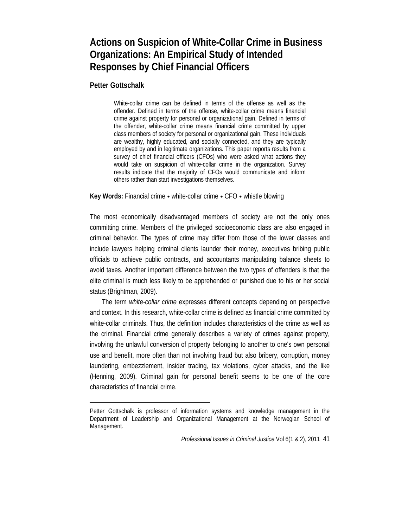# **Actions on Suspicion of White-Collar Crime in Business Organizations: An Empirical Study of Intended Responses by Chief Financial Officers**

**Petter Gottschalk** 

White-collar crime can be defined in terms of the offense as well as the offender. Defined in terms of the offense, white-collar crime means financial crime against property for personal or organizational gain. Defined in terms of the offender, white-collar crime means financial crime committed by upper class members of society for personal or organizational gain. These individuals are wealthy, highly educated, and socially connected, and they are typically employed by and in legitimate organizations. This paper reports results from a survey of chief financial officers (CFOs) who were asked what actions they would take on suspicion of white-collar crime in the organization. Survey results indicate that the majority of CFOs would communicate and inform others rather than start investigations themselves.

**Key Words:** Financial crime • white-collar crime • CFO • whistle blowing

The most economically disadvantaged members of society are not the only ones committing crime. Members of the privileged socioeconomic class are also engaged in criminal behavior. The types of crime may differ from those of the lower classes and include lawyers helping criminal clients launder their money, executives bribing public officials to achieve public contracts, and accountants manipulating balance sheets to avoid taxes. Another important difference between the two types of offenders is that the elite criminal is much less likely to be apprehended or punished due to his or her social status (Brightman, 2009).

The term *white-collar crime* expresses different concepts depending on perspective and context. In this research, white-collar crime is defined as financial crime committed by white-collar criminals. Thus, the definition includes characteristics of the crime as well as the criminal. Financial crime generally describes a variety of crimes against property, involving the unlawful conversion of property belonging to another to one's own personal use and benefit, more often than not involving fraud but also bribery, corruption, money laundering, embezzlement, insider trading, tax violations, cyber attacks, and the like (Henning, 2009). Criminal gain for personal benefit seems to be one of the core characteristics of financial crime.

Petter Gottschalk is professor of information systems and knowledge management in the Department of Leadership and Organizational Management at the Norwegian School of Management.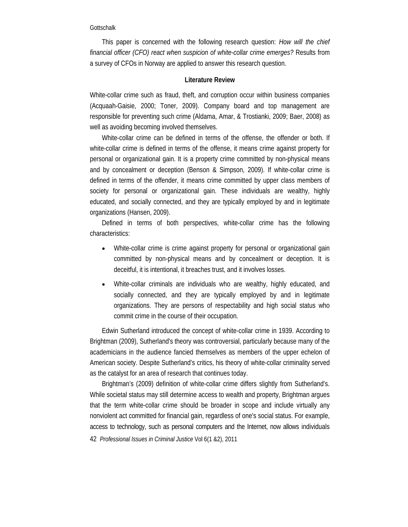This paper is concerned with the following research question: *How will the chief financial officer (CFO) react when suspicion of white-collar crime emerges?* Results from a survey of CFOs in Norway are applied to answer this research question.

# **Literature Review**

White-collar crime such as fraud, theft, and corruption occur within business companies (Acquaah-Gaisie, 2000; Toner, 2009). Company board and top management are responsible for preventing such crime (Aldama, Amar, & Trostianki, 2009; Baer, 2008) as well as avoiding becoming involved themselves.

White-collar crime can be defined in terms of the offense, the offender or both. If white-collar crime is defined in terms of the offense, it means crime against property for personal or organizational gain. It is a property crime committed by non-physical means and by concealment or deception (Benson & Simpson, 2009). If white-collar crime is defined in terms of the offender, it means crime committed by upper class members of society for personal or organizational gain. These individuals are wealthy, highly educated, and socially connected, and they are typically employed by and in legitimate organizations (Hansen, 2009).

Defined in terms of both perspectives, white-collar crime has the following characteristics:

- White-collar crime is crime against property for personal or organizational gain committed by non-physical means and by concealment or deception. It is deceitful, it is intentional, it breaches trust, and it involves losses.
- White-collar criminals are individuals who are wealthy, highly educated, and socially connected, and they are typically employed by and in legitimate organizations. They are persons of respectability and high social status who commit crime in the course of their occupation.

Edwin Sutherland introduced the concept of white-collar crime in 1939. According to Brightman (2009), Sutherland's theory was controversial, particularly because many of the academicians in the audience fancied themselves as members of the upper echelon of American society. Despite Sutherland's critics, his theory of white-collar criminality served as the catalyst for an area of research that continues today.

42 *Professional Issues in Criminal Justice* Vol 6(1 &2), 2011 Brightman's (2009) definition of white-collar crime differs slightly from Sutherland's. While societal status may still determine access to wealth and property, Brightman argues that the term white-collar crime should be broader in scope and include virtually any nonviolent act committed for financial gain, regardless of one's social status. For example, access to technology, such as personal computers and the Internet, now allows individuals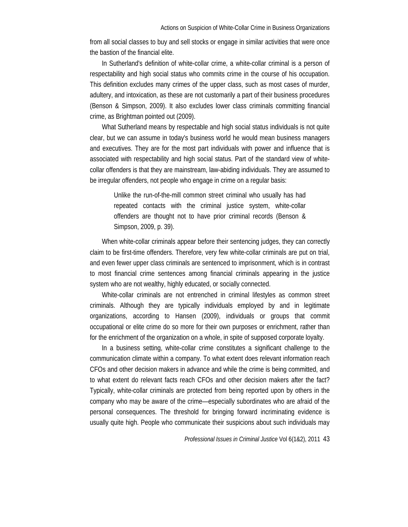from all social classes to buy and sell stocks or engage in similar activities that were once the bastion of the financial elite.

In Sutherland's definition of white-collar crime, a white-collar criminal is a person of respectability and high social status who commits crime in the course of his occupation. This definition excludes many crimes of the upper class, such as most cases of murder, adultery, and intoxication, as these are not customarily a part of their business procedures (Benson & Simpson, 2009). It also excludes lower class criminals committing financial crime, as Brightman pointed out (2009).

What Sutherland means by respectable and high social status individuals is not quite clear, but we can assume in today's business world he would mean business managers and executives. They are for the most part individuals with power and influence that is associated with respectability and high social status. Part of the standard view of whitecollar offenders is that they are mainstream, law-abiding individuals. They are assumed to be irregular offenders, not people who engage in crime on a regular basis:

Unlike the run-of-the-mill common street criminal who usually has had repeated contacts with the criminal justice system, white-collar offenders are thought not to have prior criminal records (Benson & Simpson, 2009, p. 39).

When white-collar criminals appear before their sentencing judges, they can correctly claim to be first-time offenders. Therefore, very few white-collar criminals are put on trial, and even fewer upper class criminals are sentenced to imprisonment, which is in contrast to most financial crime sentences among financial criminals appearing in the justice system who are not wealthy, highly educated, or socially connected.

White-collar criminals are not entrenched in criminal lifestyles as common street criminals. Although they are typically individuals employed by and in legitimate organizations, according to Hansen (2009), individuals or groups that commit occupational or elite crime do so more for their own purposes or enrichment, rather than for the enrichment of the organization on a whole, in spite of supposed corporate loyalty.

In a business setting, white-collar crime constitutes a significant challenge to the communication climate within a company. To what extent does relevant information reach CFOs and other decision makers in advance and while the crime is being committed, and to what extent do relevant facts reach CFOs and other decision makers after the fact? Typically, white-collar criminals are protected from being reported upon by others in the company who may be aware of the crime—especially subordinates who are afraid of the personal consequences. The threshold for bringing forward incriminating evidence is usually quite high. People who communicate their suspicions about such individuals may

*Professional Issues in Criminal Justice* Vol 6(1&2), 2011 43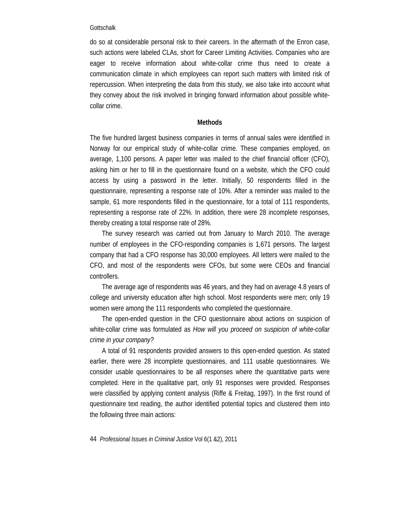do so at considerable personal risk to their careers. In the aftermath of the Enron case, such actions were labeled CLAs, short for Career Limiting Activities. Companies who are eager to receive information about white-collar crime thus need to create a communication climate in which employees can report such matters with limited risk of repercussion. When interpreting the data from this study, we also take into account what they convey about the risk involved in bringing forward information about possible whitecollar crime.

# **Methods**

The five hundred largest business companies in terms of annual sales were identified in Norway for our empirical study of white-collar crime. These companies employed, on average, 1,100 persons. A paper letter was mailed to the chief financial officer (CFO), asking him or her to fill in the questionnaire found on a website, which the CFO could access by using a password in the letter. Initially, 50 respondents filled in the questionnaire, representing a response rate of 10%. After a reminder was mailed to the sample, 61 more respondents filled in the questionnaire, for a total of 111 respondents, representing a response rate of 22%. In addition, there were 28 incomplete responses, thereby creating a total response rate of 28%.

The survey research was carried out from January to March 2010. The average number of employees in the CFO-responding companies is 1,671 persons. The largest company that had a CFO response has 30,000 employees. All letters were mailed to the CFO, and most of the respondents were CFOs, but some were CEOs and financial controllers.

The average age of respondents was 46 years, and they had on average 4.8 years of college and university education after high school. Most respondents were men; only 19 women were among the 111 respondents who completed the questionnaire.

The open-ended question in the CFO questionnaire about actions on suspicion of white-collar crime was formulated as *How will you proceed on suspicion of white-collar crime in your company?* 

A total of 91 respondents provided answers to this open-ended question. As stated earlier, there were 28 incomplete questionnaires, and 111 usable questionnaires. We consider usable questionnaires to be all responses where the quantitative parts were completed. Here in the qualitative part, only 91 responses were provided. Responses were classified by applying content analysis (Riffe & Freitag, 1997). In the first round of questionnaire text reading, the author identified potential topics and clustered them into the following three main actions:

44 *Professional Issues in Criminal Justice* Vol 6(1 &2), 2011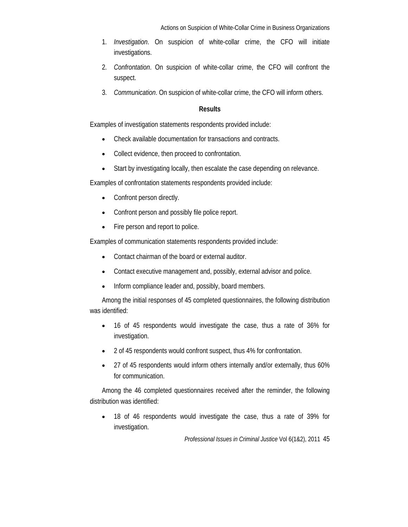- 1. *Investigation*. On suspicion of white-collar crime, the CFO will initiate investigations.
- 2. *Confrontation*. On suspicion of white-collar crime, the CFO will confront the suspect.
- 3. *Communication*. On suspicion of white-collar crime, the CFO will inform others.

# **Results**

Examples of investigation statements respondents provided include:

- Check available documentation for transactions and contracts.
- Collect evidence, then proceed to confrontation.
- Start by investigating locally, then escalate the case depending on relevance.

Examples of confrontation statements respondents provided include:

- Confront person directly.
- Confront person and possibly file police report.
- Fire person and report to police.

Examples of communication statements respondents provided include:

- Contact chairman of the board or external auditor.
- Contact executive management and, possibly, external advisor and police.
- Inform compliance leader and, possibly, board members.

Among the initial responses of 45 completed questionnaires, the following distribution was identified:

- 16 of 45 respondents would investigate the case, thus a rate of 36% for investigation.
- 2 of 45 respondents would confront suspect, thus 4% for confrontation.
- 27 of 45 respondents would inform others internally and/or externally, thus 60% for communication.

Among the 46 completed questionnaires received after the reminder, the following distribution was identified:

• 18 of 46 respondents would investigate the case, thus a rate of 39% for investigation.

*Professional Issues in Criminal Justice* Vol 6(1&2), 2011 45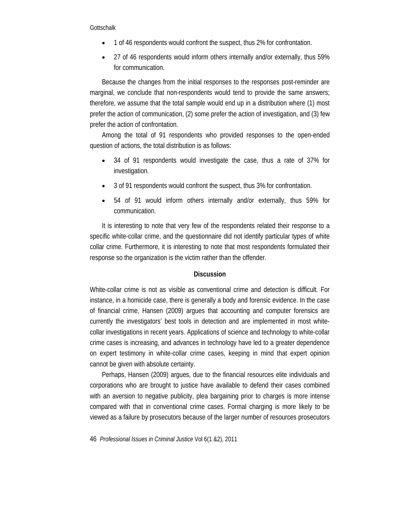- 1 of 46 respondents would confront the suspect, thus 2% for confrontation.
- 27 of 46 respondents would inform others internally and/or externally, thus 59% for communication.

Because the changes from the initial responses to the responses post-reminder are marginal, we conclude that non-respondents would tend to provide the same answers; therefore, we assume that the total sample would end up in a distribution where (1) most prefer the action of communication, (2) some prefer the action of investigation, and (3) few prefer the action of confrontation.

Among the total of 91 respondents who provided responses to the open-ended question of actions, the total distribution is as follows:

- 34 of 91 respondents would investigate the case, thus a rate of 37% for investigation.
- 3 of 91 respondents would confront the suspect, thus 3% for confrontation.
- 54 of 91 would inform others internally and/or externally, thus 59% for communication.

It is interesting to note that very few of the respondents related their response to a specific white-collar crime, and the questionnaire did not identify particular types of white collar crime. Furthermore, it is interesting to note that most respondents formulated their response so the organization is the victim rather than the offender.

# **Discussion**

White-collar crime is not as visible as conventional crime and detection is difficult. For instance, in a homicide case, there is generally a body and forensic evidence. In the case of financial crime, Hansen (2009) argues that accounting and computer forensics are currently the investigators' best tools in detection and are implemented in most whitecollar investigations in recent years. Applications of science and technology to white-collar crime cases is increasing, and advances in technology have led to a greater dependence on expert testimony in white-collar crime cases, keeping in mind that expert opinion cannot be given with absolute certainty.

Perhaps, Hansen (2009) argues, due to the financial resources elite individuals and corporations who are brought to justice have available to defend their cases combined with an aversion to negative publicity, plea bargaining prior to charges is more intense compared with that in conventional crime cases. Formal charging is more likely to be viewed as a failure by prosecutors because of the larger number of resources prosecutors

46 *Professional Issues in Criminal Justice* Vol 6(1 &2), 2011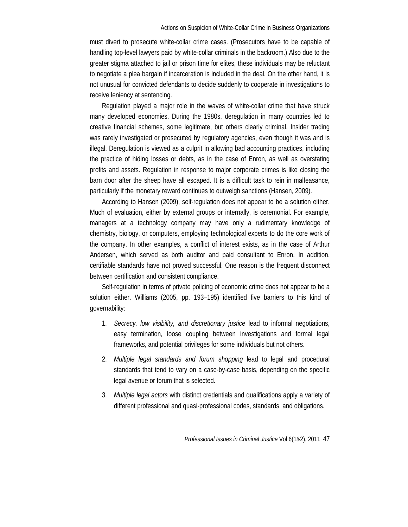must divert to prosecute white-collar crime cases. (Prosecutors have to be capable of handling top-level lawyers paid by white-collar criminals in the backroom.) Also due to the greater stigma attached to jail or prison time for elites, these individuals may be reluctant to negotiate a plea bargain if incarceration is included in the deal. On the other hand, it is not unusual for convicted defendants to decide suddenly to cooperate in investigations to receive leniency at sentencing.

Regulation played a major role in the waves of white-collar crime that have struck many developed economies. During the 1980s, deregulation in many countries led to creative financial schemes, some legitimate, but others clearly criminal. Insider trading was rarely investigated or prosecuted by regulatory agencies, even though it was and is illegal. Deregulation is viewed as a culprit in allowing bad accounting practices, including the practice of hiding losses or debts, as in the case of Enron, as well as overstating profits and assets. Regulation in response to major corporate crimes is like closing the barn door after the sheep have all escaped. It is a difficult task to rein in malfeasance, particularly if the monetary reward continues to outweigh sanctions (Hansen, 2009).

According to Hansen (2009), self-regulation does not appear to be a solution either. Much of evaluation, either by external groups or internally, is ceremonial. For example, managers at a technology company may have only a rudimentary knowledge of chemistry, biology, or computers, employing technological experts to do the core work of the company. In other examples, a conflict of interest exists, as in the case of Arthur Andersen, which served as both auditor and paid consultant to Enron. In addition, certifiable standards have not proved successful. One reason is the frequent disconnect between certification and consistent compliance.

Self-regulation in terms of private policing of economic crime does not appear to be a solution either. Williams (2005, pp. 193–195) identified five barriers to this kind of governability:

- 1. *Secrecy, low visibility, and discretionary justice* lead to informal negotiations, easy termination, loose coupling between investigations and formal legal frameworks, and potential privileges for some individuals but not others.
- 2. *Multiple legal standards and forum shopping* lead to legal and procedural standards that tend to vary on a case-by-case basis, depending on the specific legal avenue or forum that is selected.
- 3. *Multiple legal actors* with distinct credentials and qualifications apply a variety of different professional and quasi-professional codes, standards, and obligations.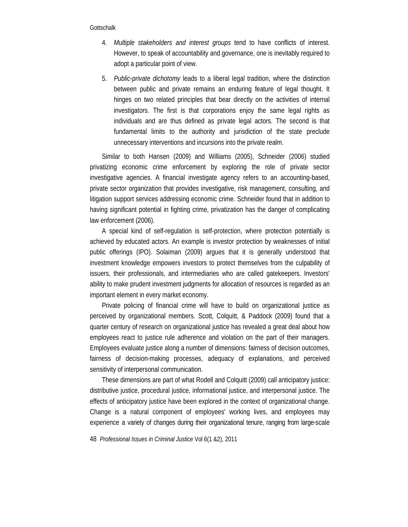- 4. *Multiple stakeholders and interest groups* tend to have conflicts of interest. However, to speak of accountability and governance, one is inevitably required to adopt a particular point of view.
- 5. *Public-private dichotomy* leads to a liberal legal tradition, where the distinction between public and private remains an enduring feature of legal thought. It hinges on two related principles that bear directly on the activities of internal investigators. The first is that corporations enjoy the same legal rights as individuals and are thus defined as private legal actors. The second is that fundamental limits to the authority and jurisdiction of the state preclude unnecessary interventions and incursions into the private realm.

Similar to both Hansen (2009) and Williams (2005), Schneider (2006) studied privatizing economic crime enforcement by exploring the role of private sector investigative agencies. A financial investigate agency refers to an accounting-based, private sector organization that provides investigative, risk management, consulting, and litigation support services addressing economic crime. Schneider found that in addition to having significant potential in fighting crime, privatization has the danger of complicating law enforcement (2006).

A special kind of self-regulation is self-protection, where protection potentially is achieved by educated actors. An example is investor protection by weaknesses of initial public offerings (IPO). Solaiman (2009) argues that it is generally understood that investment knowledge empowers investors to protect themselves from the culpability of issuers, their professionals, and intermediaries who are called gatekeepers. Investors' ability to make prudent investment judgments for allocation of resources is regarded as an important element in every market economy.

Private policing of financial crime will have to build on organizational justice as perceived by organizational members. Scott, Colquitt, & Paddock (2009) found that a quarter century of research on organizational justice has revealed a great deal about how employees react to justice rule adherence and violation on the part of their managers. Employees evaluate justice along a number of dimensions: fairness of decision outcomes, fairness of decision-making processes, adequacy of explanations, and perceived sensitivity of interpersonal communication.

These dimensions are part of what Rodell and Colquitt (2009) call anticipatory justice: distributive justice, procedural justice, informational justice, and interpersonal justice. The effects of anticipatory justice have been explored in the context of organizational change. Change is a natural component of employees' working lives, and employees may experience a variety of changes during their organizational tenure, ranging from large-scale

48 *Professional Issues in Criminal Justice* Vol 6(1 &2), 2011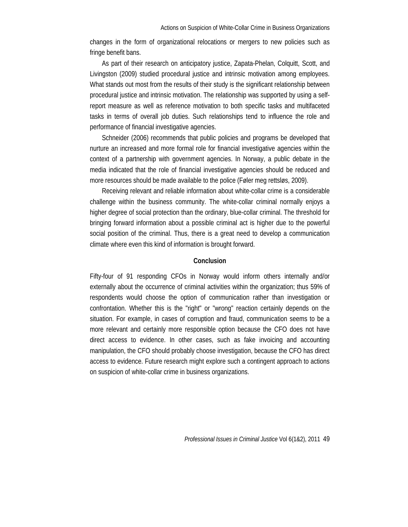changes in the form of organizational relocations or mergers to new policies such as fringe benefit bans.

As part of their research on anticipatory justice, Zapata-Phelan, Colquitt, Scott, and Livingston (2009) studied procedural justice and intrinsic motivation among employees. What stands out most from the results of their study is the significant relationship between procedural justice and intrinsic motivation. The relationship was supported by using a selfreport measure as well as reference motivation to both specific tasks and multifaceted tasks in terms of overall job duties. Such relationships tend to influence the role and performance of financial investigative agencies.

Schneider (2006) recommends that public policies and programs be developed that nurture an increased and more formal role for financial investigative agencies within the context of a partnership with government agencies. In Norway, a public debate in the media indicated that the role of financial investigative agencies should be reduced and more resources should be made available to the police (Føler meg rettsløs, 2009).

Receiving relevant and reliable information about white-collar crime is a considerable challenge within the business community. The white-collar criminal normally enjoys a higher degree of social protection than the ordinary, blue-collar criminal. The threshold for bringing forward information about a possible criminal act is higher due to the powerful social position of the criminal. Thus, there is a great need to develop a communication climate where even this kind of information is brought forward.

# **Conclusion**

Fifty-four of 91 responding CFOs in Norway would inform others internally and/or externally about the occurrence of criminal activities within the organization; thus 59% of respondents would choose the option of communication rather than investigation or confrontation. Whether this is the "right" or "wrong" reaction certainly depends on the situation. For example, in cases of corruption and fraud, communication seems to be a more relevant and certainly more responsible option because the CFO does not have direct access to evidence. In other cases, such as fake invoicing and accounting manipulation, the CFO should probably choose investigation, because the CFO has direct access to evidence. Future research might explore such a contingent approach to actions on suspicion of white-collar crime in business organizations.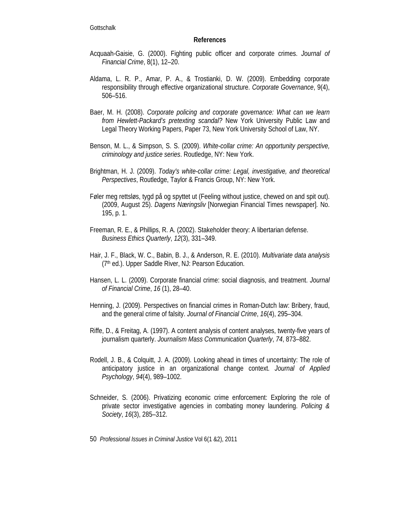# **References**

- Acquaah-Gaisie, G. (2000). Fighting public officer and corporate crimes. *Journal of Financial Crime*, 8(1), 12–20.
- Aldama, L. R. P., Amar, P. A., & Trostianki, D. W. (2009). Embedding corporate responsibility through effective organizational structure. *Corporate Governance*, 9(4), 506–516.
- Baer, M. H. (2008). *Corporate policing and corporate governance: What can we learn from Hewlett-Packard's pretexting scandal?* New York University Public Law and Legal Theory Working Papers, Paper 73, New York University School of Law, NY.
- Benson, M. L., & Simpson, S. S. (2009). *White-collar crime: An opportunity perspective, criminology and justice series*. Routledge, NY: New York.
- Brightman, H. J. (2009). *Today's white-collar crime: Legal, investigative, and theoretical Perspectives*, Routledge, Taylor & Francis Group, NY: New York.
- Føler meg rettsløs, tygd på og spyttet ut (Feeling without justice, chewed on and spit out). (2009, August 25). *Dagens Næringsliv* [Norwegian Financial Times newspaper]*.* No. 195, p. 1.
- Freeman, R. E., & Phillips, R. A. (2002). Stakeholder theory: A libertarian defense. *Business Ethics Quarterly*, *12*(3), 331–349.
- Hair, J. F., Black, W. C., Babin, B. J., & Anderson, R. E. (2010). *Multivariate data analysis*  (7th ed.). Upper Saddle River, NJ: Pearson Education.
- Hansen, L. L. (2009). Corporate financial crime: social diagnosis, and treatment. *Journal of Financial Crime*, *16* (1), 28–40.
- Henning, J. (2009). Perspectives on financial crimes in Roman-Dutch law: Bribery, fraud, and the general crime of falsity. *Journal of Financial Crime*, *16*(4), 295–304.
- Riffe, D., & Freitag, A. (1997). A content analysis of content analyses, twenty-five years of journalism quarterly. *Journalism Mass Communication Quarterly*, *74*, 873–882.
- Rodell, J. B., & Colquitt, J. A. (2009). Looking ahead in times of uncertainty: The role of anticipatory justice in an organizational change context. *Journal of Applied Psychology*, *94*(4), 989–1002.
- Schneider, S. (2006). Privatizing economic crime enforcement: Exploring the role of private sector investigative agencies in combating money laundering. *Policing & Society*, *16*(3), 285–312.
- 50 *Professional Issues in Criminal Justice* Vol 6(1 &2), 2011